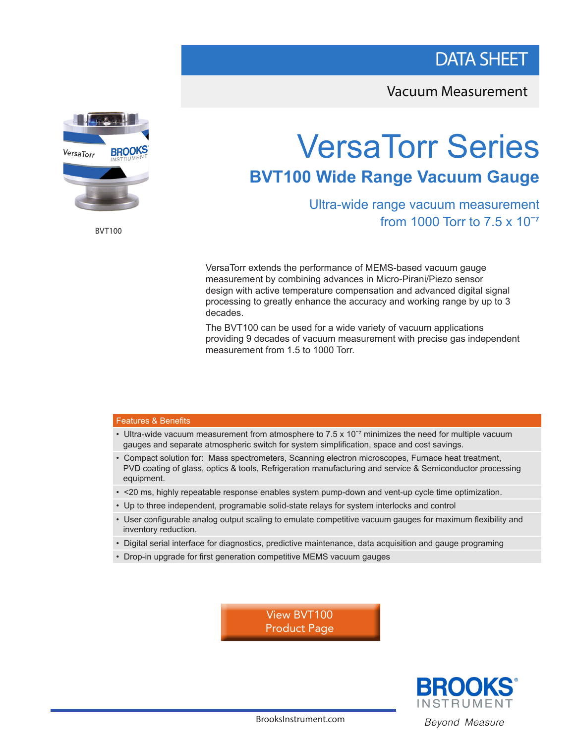## DATA SHEET

Vacuum Measurement



BVT100

# VersaTorr Series **BVT100 Wide Range Vacuum Gauge**

Ultra-wide range vacuum measurement from 1000 Torr to 7.5 x 10<sup>-7</sup>

VersaTorr extends the performance of MEMS-based vacuum gauge measurement by combining advances in Micro-Pirani/Piezo sensor design with active temperature compensation and advanced digital signal processing to greatly enhance the accuracy and working range by up to 3 decades.

The BVT100 can be used for a wide variety of vacuum applications providing 9 decades of vacuum measurement with precise gas independent measurement from 1.5 to 1000 Torr.

#### Features & Benefits

- Ultra-wide vacuum measurement from atmosphere to 7.5 x 10 $<sup>7</sup>$  minimizes the need for multiple vacuum</sup> gauges and separate atmospheric switch for system simplification, space and cost savings.
- Compact solution for: Mass spectrometers, Scanning electron microscopes, Furnace heat treatment, PVD coating of glass, optics & tools, Refrigeration manufacturing and service & Semiconductor processing equipment.
- <20 ms, highly repeatable response enables system pump-down and vent-up cycle time optimization.
- Up to three independent, programable solid-state relays for system interlocks and control
- User configurable analog output scaling to emulate competitive vacuum gauges for maximum flexibility and inventory reduction.
- Digital serial interface for diagnostics, predictive maintenance, data acquisition and gauge programing
- Drop-in upgrade for first generation competitive MEMS vacuum gauges

View BVT100 [Product Page](https://www.brooksinstrument.com/en/products/pressure-vacuum/pirani-transducers/versatorr-bvt100-series)



BrooksInstrument.com Beyond Measure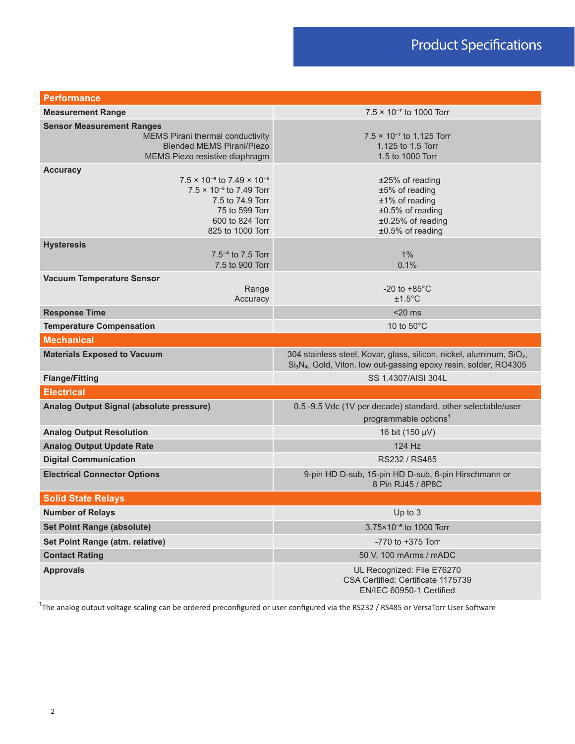| <b>Performance</b>                                                                                                                                                                 |                                                                                                                                                                               |
|------------------------------------------------------------------------------------------------------------------------------------------------------------------------------------|-------------------------------------------------------------------------------------------------------------------------------------------------------------------------------|
| <b>Measurement Range</b>                                                                                                                                                           | $7.5 \times 10^{-7}$ to 1000 Torr                                                                                                                                             |
| <b>Sensor Measurement Ranges</b><br>MEMS Pirani thermal conductivity<br><b>Blended MEMS Pirani/Piezo</b><br>MEMS Piezo resistive diaphragm                                         | $7.5 \times 10^{-7}$ to 1.125 Torr<br>1.125 to 1.5 Torr<br>1.5 to 1000 Torr                                                                                                   |
| <b>Accuracy</b><br>$7.5 \times 10^{-6}$ to $7.49 \times 10^{-5}$<br>$7.5 \times 10^{-5}$ to 7.49 Torr<br>7.5 to 74.9 Torr<br>75 to 599 Torr<br>600 to 824 Torr<br>825 to 1000 Torr | ±25% of reading<br>±5% of reading<br>±1% of reading<br>$±0.5%$ of reading<br>±0.25% of reading<br>±0.5% of reading                                                            |
| <b>Hysteresis</b><br>$7.5^{-4}$ to $7.5$ Torr<br>7.5 to 900 Torr                                                                                                                   | 1%<br>0.1%                                                                                                                                                                    |
| <b>Vacuum Temperature Sensor</b><br>Range<br>Accuracy                                                                                                                              | -20 to $+85^{\circ}$ C<br>$±1.5^{\circ}$ C                                                                                                                                    |
| <b>Response Time</b>                                                                                                                                                               | $<$ 20 $ms$                                                                                                                                                                   |
| <b>Temperature Compensation</b>                                                                                                                                                    | 10 to $50^{\circ}$ C                                                                                                                                                          |
| <b>Mechanical</b>                                                                                                                                                                  |                                                                                                                                                                               |
| <b>Materials Exposed to Vacuum</b>                                                                                                                                                 | 304 stainless steel, Kovar, glass, silicon, nickel, aluminum, SiO <sub>2</sub> ,<br>Si <sub>3</sub> N <sub>4</sub> , Gold, Viton, low out-gassing epoxy resin, solder, RO4305 |
| <b>Flange/Fitting</b>                                                                                                                                                              | SS 1.4307/AISI 304L                                                                                                                                                           |
| <b>Electrical</b>                                                                                                                                                                  |                                                                                                                                                                               |
| Analog Output Signal (absolute pressure)                                                                                                                                           | 0.5 -9.5 Vdc (1V per decade) standard, other selectable/user<br>programmable options <sup>1</sup>                                                                             |
| <b>Analog Output Resolution</b>                                                                                                                                                    | 16 bit (150 µV)                                                                                                                                                               |
| <b>Analog Output Update Rate</b>                                                                                                                                                   | 124 Hz                                                                                                                                                                        |
| <b>Digital Communication</b>                                                                                                                                                       | RS232 / RS485                                                                                                                                                                 |
| <b>Electrical Connector Options</b>                                                                                                                                                | 9-pin HD D-sub, 15-pin HD D-sub, 6-pin Hirschmann or<br>8 Pin RJ45 / 8P8C                                                                                                     |
| <b>Solid State Relays</b>                                                                                                                                                          |                                                                                                                                                                               |
| <b>Number of Relays</b>                                                                                                                                                            | Up to 3                                                                                                                                                                       |
| <b>Set Point Range (absolute)</b>                                                                                                                                                  | 3.75×10 <sup>-6</sup> to 1000 Torr                                                                                                                                            |
| Set Point Range (atm. relative)                                                                                                                                                    | -770 to +375 Torr                                                                                                                                                             |
| <b>Contact Rating</b>                                                                                                                                                              | 50 V, 100 mArms / mADC                                                                                                                                                        |
| <b>Approvals</b>                                                                                                                                                                   | UL Recognized: File E76270<br>CSA Certified: Certificate 1175739<br>EN/IEC 60950-1 Certified                                                                                  |

<sup>1</sup>The analog output voltage scaling can be ordered preconfigured or user configured via the RS232 / RS485 or VersaTorr User Software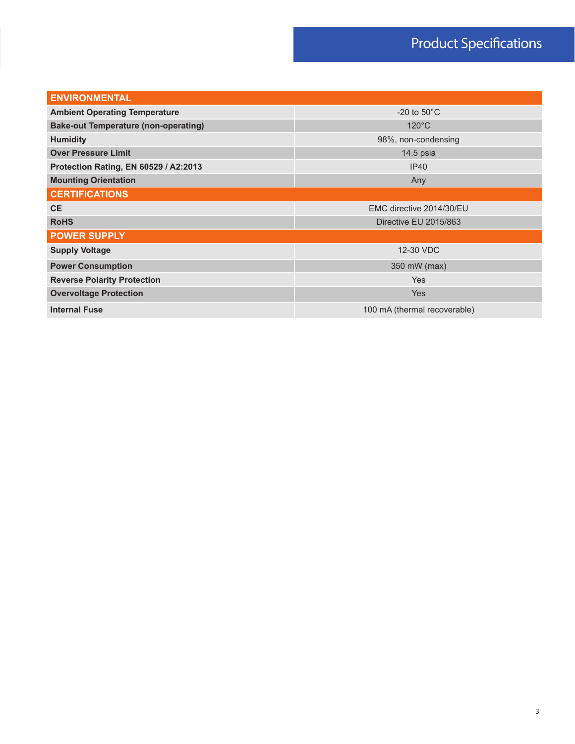# Product Specifications

| <b>ENVIRONMENTAL</b>                        |                              |  |
|---------------------------------------------|------------------------------|--|
| <b>Ambient Operating Temperature</b>        | -20 to $50^{\circ}$ C        |  |
| <b>Bake-out Temperature (non-operating)</b> | $120^{\circ}$ C              |  |
| <b>Humidity</b>                             | 98%, non-condensing          |  |
| <b>Over Pressure Limit</b>                  | 14.5 psia                    |  |
| Protection Rating, EN 60529 / A2:2013       | IP40                         |  |
| <b>Mounting Orientation</b>                 | Any                          |  |
| <b>CERTIFICATIONS</b>                       |                              |  |
| <b>CE</b>                                   | EMC directive 2014/30/EU     |  |
| <b>RoHS</b>                                 | Directive EU 2015/863        |  |
| <b>POWER SUPPLY</b>                         |                              |  |
| <b>Supply Voltage</b>                       | 12-30 VDC                    |  |
| <b>Power Consumption</b>                    | 350 mW (max)                 |  |
| <b>Reverse Polarity Protection</b>          | Yes                          |  |
| <b>Overvoltage Protection</b>               | <b>Yes</b>                   |  |
| <b>Internal Fuse</b>                        | 100 mA (thermal recoverable) |  |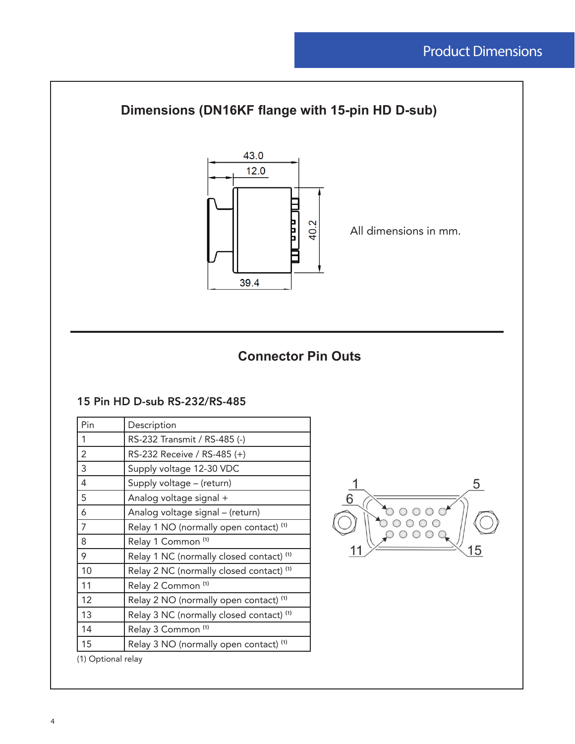

### **Connector Pin Outs**

#### 15 Pin HD D-sub RS-232/RS-485

| Pin                | Description                                         |
|--------------------|-----------------------------------------------------|
| 1                  | RS-232 Transmit / RS-485 (-)                        |
| 2                  | RS-232 Receive / RS-485 (+)                         |
| 3                  | Supply voltage 12-30 VDC                            |
| 4                  | Supply voltage - (return)                           |
| 5                  | Analog voltage signal +                             |
| 6                  | Analog voltage signal - (return)                    |
| 7                  | Relay 1 NO (normally open contact) (1)              |
| 8                  | Relay 1 Common <sup>(1)</sup>                       |
| 9                  | Relay 1 NC (normally closed contact) <sup>(1)</sup> |
| 10                 | Relay 2 NC (normally closed contact) <sup>(1)</sup> |
| 11                 | Relay 2 Common <sup>(1)</sup>                       |
| 12                 | Relay 2 NO (normally open contact) <sup>(1)</sup>   |
| 13                 | Relay 3 NC (normally closed contact) <sup>(1)</sup> |
| 14                 | Relay 3 Common <sup>(1)</sup>                       |
| 15                 | Relay 3 NO (normally open contact) <sup>(1)</sup>   |
| (1) Optional relay |                                                     |

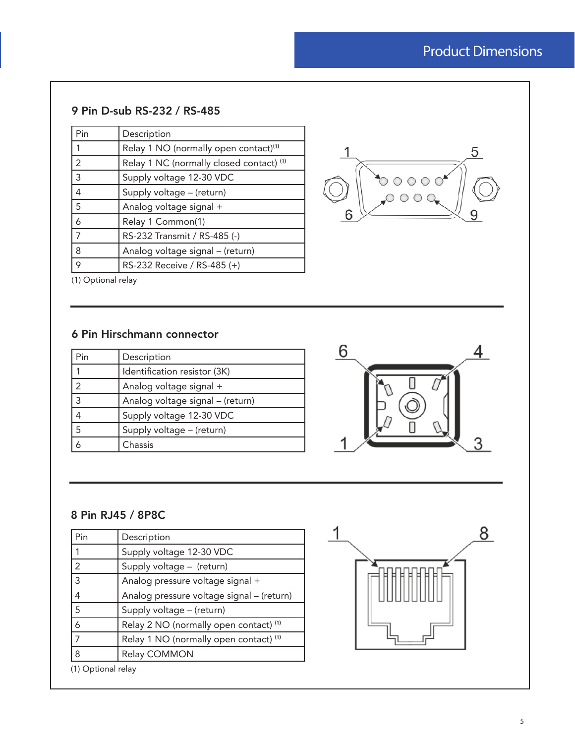# Product Dimensions

### 9 Pin D-sub RS-232 / RS-485

| Pin            | Description                                       |
|----------------|---------------------------------------------------|
|                | Relay 1 NO (normally open contact) <sup>(1)</sup> |
| $\overline{2}$ | Relay 1 NC (normally closed contact) (1)          |
| $\overline{3}$ | Supply voltage 12-30 VDC                          |
| $\overline{4}$ | Supply voltage - (return)                         |
| 5              | Analog voltage signal +                           |
| 6              | Relay 1 Common(1)                                 |
| $\overline{7}$ | RS-232 Transmit / RS-485 (-)                      |
| 8              | Analog voltage signal - (return)                  |
| 9              | RS-232 Receive / RS-485 (+)                       |



(1) Optional relay

### 6 Pin Hirschmann connector

| Pin            | Description                      |
|----------------|----------------------------------|
|                | Identification resistor (3K)     |
| $\overline{2}$ | Analog voltage signal +          |
| $\overline{3}$ | Analog voltage signal - (return) |
| 4              | Supply voltage 12-30 VDC         |
| $\overline{5}$ | Supply voltage - (return)        |
|                | Chassis                          |



#### 8 Pin RJ45 / 8P8C

| Pin            | Description                               |
|----------------|-------------------------------------------|
| 1              | Supply voltage 12-30 VDC                  |
| $\vert$ 2      | Supply voltage - (return)                 |
| 3              | Analog pressure voltage signal +          |
| $\overline{4}$ | Analog pressure voltage signal - (return) |
| 5              | Supply voltage - (return)                 |
| 6              | Relay 2 NO (normally open contact) (1)    |
| $\overline{7}$ | Relay 1 NO (normally open contact) (1)    |
| 8              | Relay COMMON                              |

(1) Optional relay

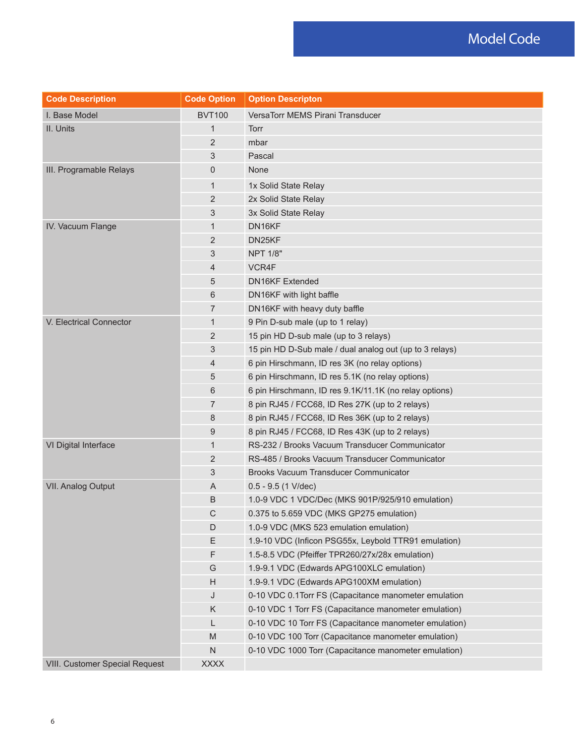| <b>Code Description</b>               | <b>Code Option</b> | <b>Option Descripton</b>                                |
|---------------------------------------|--------------------|---------------------------------------------------------|
| I. Base Model                         | <b>BVT100</b>      | VersaTorr MEMS Pirani Transducer                        |
| II. Units                             | 1                  | Torr                                                    |
|                                       | 2                  | mbar                                                    |
|                                       | 3                  | Pascal                                                  |
| III. Programable Relays               | $\mathbf 0$        | None                                                    |
|                                       | 1                  | 1x Solid State Relay                                    |
|                                       | $\overline{2}$     | 2x Solid State Relay                                    |
|                                       | 3                  | 3x Solid State Relay                                    |
| IV. Vacuum Flange                     | 1                  | DN16KF                                                  |
|                                       | 2                  | DN25KF                                                  |
|                                       | 3                  | <b>NPT 1/8"</b>                                         |
|                                       | 4                  | VCR4F                                                   |
|                                       | 5                  | <b>DN16KF Extended</b>                                  |
|                                       | 6                  | DN16KF with light baffle                                |
|                                       | 7                  | DN16KF with heavy duty baffle                           |
| V. Electrical Connector               | $\mathbf{1}$       | 9 Pin D-sub male (up to 1 relay)                        |
|                                       | 2                  | 15 pin HD D-sub male (up to 3 relays)                   |
|                                       | 3                  | 15 pin HD D-Sub male / dual analog out (up to 3 relays) |
|                                       | 4                  | 6 pin Hirschmann, ID res 3K (no relay options)          |
|                                       | 5                  | 6 pin Hirschmann, ID res 5.1K (no relay options)        |
|                                       | 6                  | 6 pin Hirschmann, ID res 9.1K/11.1K (no relay options)  |
|                                       | 7                  | 8 pin RJ45 / FCC68, ID Res 27K (up to 2 relays)         |
|                                       | 8                  | 8 pin RJ45 / FCC68, ID Res 36K (up to 2 relays)         |
|                                       | 9                  | 8 pin RJ45 / FCC68, ID Res 43K (up to 2 relays)         |
| VI Digital Interface                  | $\mathbf{1}$       | RS-232 / Brooks Vacuum Transducer Communicator          |
|                                       | 2                  | RS-485 / Brooks Vacuum Transducer Communicator          |
|                                       | 3                  | <b>Brooks Vacuum Transducer Communicator</b>            |
| <b>VII. Analog Output</b>             | A                  | $0.5 - 9.5$ (1 V/dec)                                   |
|                                       | B                  | 1.0-9 VDC 1 VDC/Dec (MKS 901P/925/910 emulation)        |
|                                       | C                  | 0.375 to 5.659 VDC (MKS GP275 emulation)                |
|                                       | D                  | 1.0-9 VDC (MKS 523 emulation emulation)                 |
|                                       | Ε                  | 1.9-10 VDC (Inficon PSG55x, Leybold TTR91 emulation)    |
|                                       | F                  | 1.5-8.5 VDC (Pfeiffer TPR260/27x/28x emulation)         |
|                                       | G                  | 1.9-9.1 VDC (Edwards APG100XLC emulation)               |
|                                       | Н                  | 1.9-9.1 VDC (Edwards APG100XM emulation)                |
|                                       | J                  | 0-10 VDC 0.1Torr FS (Capacitance manometer emulation    |
|                                       | K                  | 0-10 VDC 1 Torr FS (Capacitance manometer emulation)    |
|                                       | L                  | 0-10 VDC 10 Torr FS (Capacitance manometer emulation)   |
|                                       | M                  | 0-10 VDC 100 Torr (Capacitance manometer emulation)     |
|                                       | $\mathsf{N}$       | 0-10 VDC 1000 Torr (Capacitance manometer emulation)    |
| <b>VIII. Customer Special Request</b> | <b>XXXX</b>        |                                                         |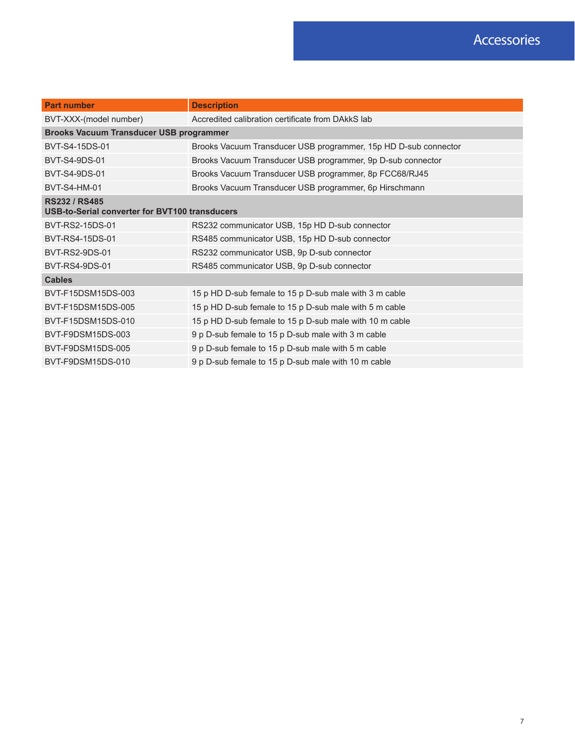| <b>Part number</b>                                                     | <b>Description</b>                                              |  |
|------------------------------------------------------------------------|-----------------------------------------------------------------|--|
| BVT-XXX-(model number)                                                 | Accredited calibration certificate from DAkkS lab               |  |
| <b>Brooks Vacuum Transducer USB programmer</b>                         |                                                                 |  |
| BVT-S4-15DS-01                                                         | Brooks Vacuum Transducer USB programmer, 15p HD D-sub connector |  |
| BVT-S4-9DS-01                                                          | Brooks Vacuum Transducer USB programmer, 9p D-sub connector     |  |
| <b>BVT-S4-9DS-01</b>                                                   | Brooks Vacuum Transducer USB programmer, 8p FCC68/RJ45          |  |
| <b>BVT-S4-HM-01</b>                                                    | Brooks Vacuum Transducer USB programmer, 6p Hirschmann          |  |
| <b>RS232 / RS485</b><br>USB-to-Serial converter for BVT100 transducers |                                                                 |  |
| BVT-RS2-15DS-01                                                        | RS232 communicator USB, 15p HD D-sub connector                  |  |
| BVT-RS4-15DS-01                                                        | RS485 communicator USB, 15p HD D-sub connector                  |  |
| BVT-RS2-9DS-01                                                         | RS232 communicator USB, 9p D-sub connector                      |  |
| BVT-RS4-9DS-01                                                         | RS485 communicator USB, 9p D-sub connector                      |  |
| <b>Cables</b>                                                          |                                                                 |  |
| BVT-F15DSM15DS-003                                                     | 15 p HD D-sub female to 15 p D-sub male with 3 m cable          |  |
| BVT-F15DSM15DS-005                                                     | 15 p HD D-sub female to 15 p D-sub male with 5 m cable          |  |
| BVT-F15DSM15DS-010                                                     | 15 p HD D-sub female to 15 p D-sub male with 10 m cable         |  |
| BVT-F9DSM15DS-003                                                      | 9 p D-sub female to 15 p D-sub male with 3 m cable              |  |
| BVT-F9DSM15DS-005                                                      | 9 p D-sub female to 15 p D-sub male with 5 m cable              |  |
| BVT-F9DSM15DS-010                                                      | 9 p D-sub female to 15 p D-sub male with 10 m cable             |  |